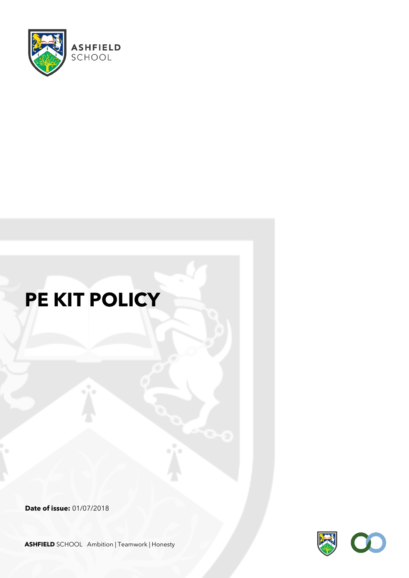

# **PE KIT POLICY**

**Date of issue:** 01/07/2018



**ASHFIELD** SCHOOL Ambition | Teamwork | Honesty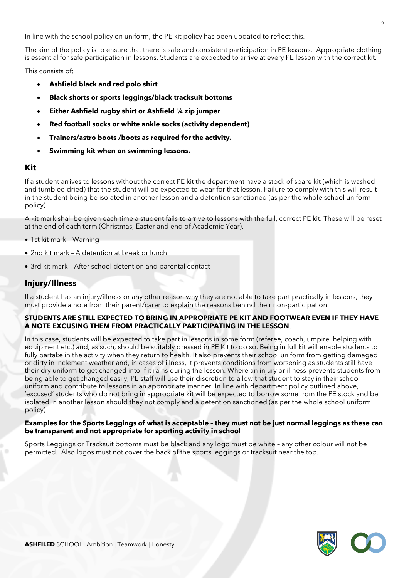In line with the school policy on uniform, the PE kit policy has been updated to reflect this.

The aim of the policy is to ensure that there is safe and consistent participation in PE lessons. Appropriate clothing is essential for safe participation in lessons. Students are expected to arrive at every PE lesson with the correct kit.

This consists of;

- **Ashfield black and red polo shirt**
- **Black shorts or sports leggings/black tracksuit bottoms**
- **Either Ashfield rugby shirt or Ashfield ¼ zip jumper**
- **Red football socks or white ankle socks (activity dependent)**
- **Trainers/astro boots /boots as required for the activity.**
- **Swimming kit when on swimming lessons.**

#### **Kit**

If a student arrives to lessons without the correct PE kit the department have a stock of spare kit (which is washed and tumbled dried) that the student will be expected to wear for that lesson. Failure to comply with this will result in the student being be isolated in another lesson and a detention sanctioned (as per the whole school uniform policy)

A kit mark shall be given each time a student fails to arrive to lessons with the full, correct PE kit. These will be reset at the end of each term (Christmas, Easter and end of Academic Year).

- 1st kit mark Warning
- 2nd kit mark A detention at break or lunch
- 3rd kit mark After school detention and parental contact

### **Injury/Illness**

If a student has an injury/illness or any other reason why they are not able to take part practically in lessons, they must provide a note from their parent/carer to explain the reasons behind their non-participation.

#### **STUDENTS ARE STILL EXPECTED TO BRING IN APPROPRIATE PE KIT AND FOOTWEAR EVEN IF THEY HAVE A NOTE EXCUSING THEM FROM PRACTICALLY PARTICIPATING IN THE LESSON**.

In this case, students will be expected to take part in lessons in some form (referee, coach, umpire, helping with equipment etc.) and, as such, should be suitably dressed in PE Kit to do so. Being in full kit will enable students to fully partake in the activity when they return to health. It also prevents their school uniform from getting damaged or dirty in inclement weather and, in cases of illness, it prevents conditions from worsening as students still have their dry uniform to get changed into if it rains during the lesson. Where an injury or illness prevents students from being able to get changed easily, PE staff will use their discretion to allow that student to stay in their school uniform and contribute to lessons in an appropriate manner. In line with department policy outlined above, 'excused' students who do not bring in appropriate kit will be expected to borrow some from the PE stock and be isolated in another lesson should they not comply and a detention sanctioned (as per the whole school uniform policy)

#### **Examples for the Sports Leggings of what is acceptable – they must not be just normal leggings as these can be transparent and not appropriate for sporting activity in school**

Sports Leggings or Tracksuit bottoms must be black and any logo must be white – any other colour will not be permitted. Also logos must not cover the back of the sports leggings or tracksuit near the top.

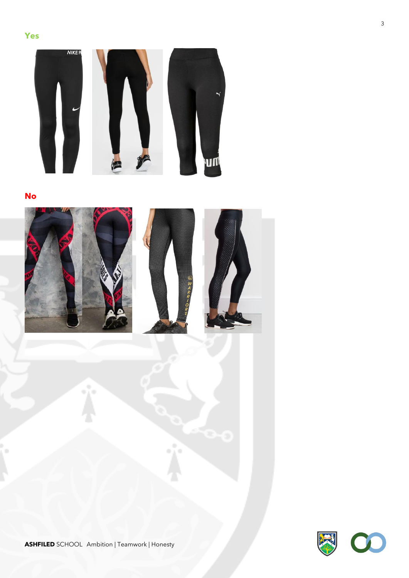

**No**